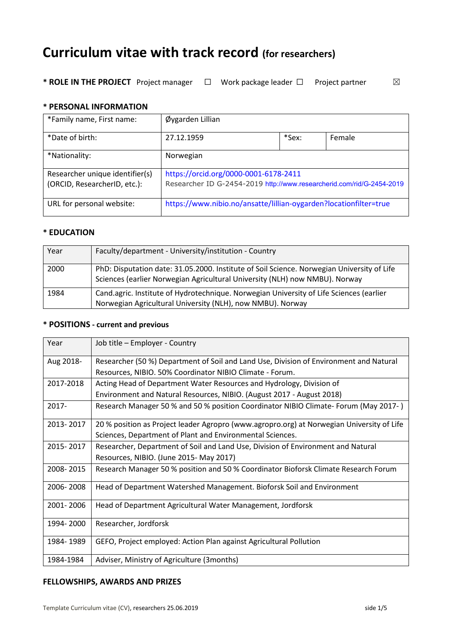# **Curriculum vitae with track record (for researchers)**

**\* ROLE IN THE PROJECT** Project manager  $□$  Work package leader  $□$  Project partner  $□$ 

#### **\* PERSONAL INFORMATION**

| *Family name, First name:       | Øygarden Lillian                                                      |       |               |
|---------------------------------|-----------------------------------------------------------------------|-------|---------------|
| *Date of birth:                 | 27.12.1959                                                            | *Sex: | <b>Female</b> |
| *Nationality:                   | Norwegian                                                             |       |               |
| Researcher unique identifier(s) | https://orcid.org/0000-0001-6178-2411                                 |       |               |
| (ORCID, ResearcherID, etc.):    | Researcher ID G-2454-2019 http://www.researcherid.com/rid/G-2454-2019 |       |               |
| URL for personal website:       | https://www.nibio.no/ansatte/lillian-oygarden?locationfilter=true     |       |               |

## **\* EDUCATION**

| Year | Faculty/department - University/institution - Country                                                                                                                     |
|------|---------------------------------------------------------------------------------------------------------------------------------------------------------------------------|
| 2000 | PhD: Disputation date: 31.05.2000. Institute of Soil Science. Norwegian University of Life<br>Sciences (earlier Norwegian Agricultural University (NLH) now NMBU). Norway |
| 1984 | Cand.agric. Institute of Hydrotechnique. Norwegian University of Life Sciences (earlier<br>Norwegian Agricultural University (NLH), now NMBU). Norway                     |

### **\* POSITIONS - current and previous**

| Year      | Job title - Employer - Country                                                            |
|-----------|-------------------------------------------------------------------------------------------|
| Aug 2018- | Researcher (50 %) Department of Soil and Land Use, Division of Environment and Natural    |
|           | Resources, NIBIO. 50% Coordinator NIBIO Climate - Forum.                                  |
| 2017-2018 | Acting Head of Department Water Resources and Hydrology, Division of                      |
|           | Environment and Natural Resources, NIBIO. (August 2017 - August 2018)                     |
| 2017-     | Research Manager 50 % and 50 % position Coordinator NIBIO Climate- Forum (May 2017-)      |
| 2013-2017 | 20 % position as Project leader Agropro (www.agropro.org) at Norwegian University of Life |
|           | Sciences, Department of Plant and Environmental Sciences.                                 |
| 2015-2017 | Researcher, Department of Soil and Land Use, Division of Environment and Natural          |
|           | Resources, NIBIO. (June 2015- May 2017)                                                   |
| 2008-2015 | Research Manager 50 % position and 50 % Coordinator Bioforsk Climate Research Forum       |
| 2006-2008 | Head of Department Watershed Management. Bioforsk Soil and Environment                    |
| 2001-2006 | Head of Department Agricultural Water Management, Jordforsk                               |
| 1994-2000 | Researcher, Jordforsk                                                                     |
| 1984-1989 | GEFO, Project employed: Action Plan against Agricultural Pollution                        |
| 1984-1984 | Adviser, Ministry of Agriculture (3months)                                                |

#### **FELLOWSHIPS, AWARDS AND PRIZES**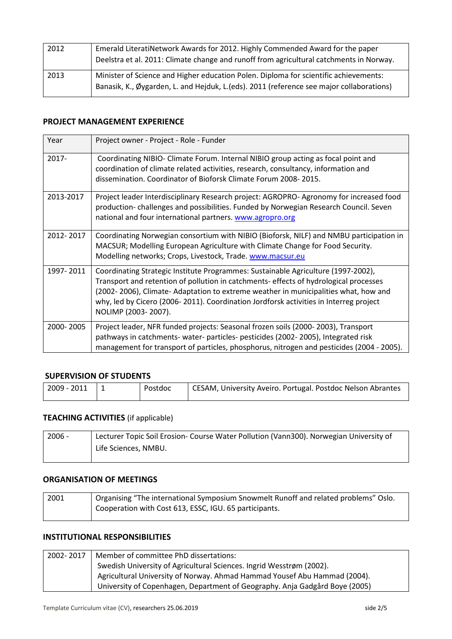| 2012 | Emerald LiteratiNetwork Awards for 2012. Highly Commended Award for the paper<br>Deelstra et al. 2011: Climate change and runoff from agricultural catchments in Norway.          |
|------|-----------------------------------------------------------------------------------------------------------------------------------------------------------------------------------|
| 2013 | Minister of Science and Higher education Polen. Diploma for scientific achievements:<br>Banasik, K., Øygarden, L. and Hejduk, L. (eds). 2011 (reference see major collaborations) |

## **PROJECT MANAGEMENT EXPERIENCE**

| Year      | Project owner - Project - Role - Funder                                                                                                                                                                                                                                                                                                                                          |
|-----------|----------------------------------------------------------------------------------------------------------------------------------------------------------------------------------------------------------------------------------------------------------------------------------------------------------------------------------------------------------------------------------|
| $2017 -$  | Coordinating NIBIO- Climate Forum. Internal NIBIO group acting as focal point and<br>coordination of climate related activities, research, consultancy, information and<br>dissemination. Coordinator of Bioforsk Climate Forum 2008-2015.                                                                                                                                       |
| 2013-2017 | Project leader Interdisciplinary Research project: AGROPRO-Agronomy for increased food<br>production-challenges and possibilities. Funded by Norwegian Research Council. Seven<br>national and four international partners. www.agropro.org                                                                                                                                      |
| 2012-2017 | Coordinating Norwegian consortium with NIBIO (Bioforsk, NILF) and NMBU participation in<br>MACSUR; Modelling European Agriculture with Climate Change for Food Security.<br>Modelling networks; Crops, Livestock, Trade. www.macsur.eu                                                                                                                                           |
| 1997-2011 | Coordinating Strategic Institute Programmes: Sustainable Agriculture (1997-2002),<br>Transport and retention of pollution in catchments- effects of hydrological processes<br>(2002-2006), Climate-Adaptation to extreme weather in municipalities what, how and<br>why, led by Cicero (2006-2011). Coordination Jordforsk activities in Interreg project<br>NOLIMP (2003-2007). |
| 2000-2005 | Project leader, NFR funded projects: Seasonal frozen soils (2000-2003), Transport<br>pathways in catchments- water- particles- pesticides (2002-2005), Integrated risk<br>management for transport of particles, phosphorus, nitrogen and pesticides (2004 - 2005).                                                                                                              |

### **SUPERVISION OF STUDENTS**

| $\frac{1}{2009}$ - 2011<br>Postdoc | CESAM, University Aveiro. Portugal. Postdoc Nelson Abrantes |
|------------------------------------|-------------------------------------------------------------|
|------------------------------------|-------------------------------------------------------------|

## **TEACHING ACTIVITIES** (if applicable)

| $2006 -$ | Lecturer Topic Soil Erosion- Course Water Pollution (Vann300). Norwegian University of |  |
|----------|----------------------------------------------------------------------------------------|--|
|          | Life Sciences, NMBU.                                                                   |  |
|          |                                                                                        |  |

### **ORGANISATION OF MEETINGS**

| 2001 | Organising "The international Symposium Snowmelt Runoff and related problems" Oslo. |  |
|------|-------------------------------------------------------------------------------------|--|
|      | Cooperation with Cost 613, ESSC, IGU. 65 participants.                              |  |

## **INSTITUTIONAL RESPONSIBILITIES**

| 2002-2017 | Member of committee PhD dissertations:                                      |
|-----------|-----------------------------------------------------------------------------|
|           | Swedish University of Agricultural Sciences. Ingrid Wesstrøm (2002).        |
|           | Agricultural University of Norway. Ahmad Hammad Yousef Abu Hammad (2004).   |
|           | University of Copenhagen, Department of Geography. Anja Gadgård Boye (2005) |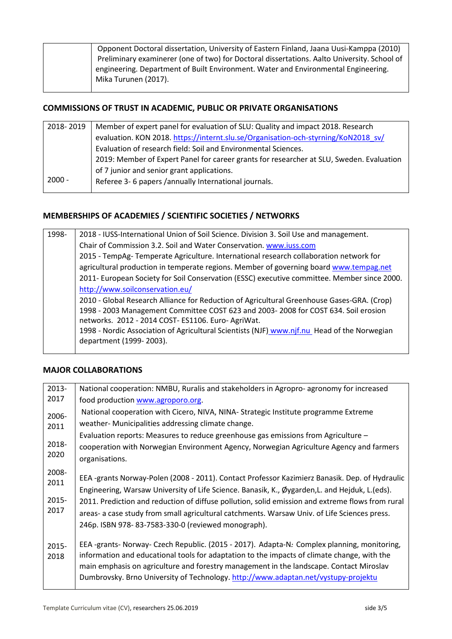| Opponent Doctoral dissertation, University of Eastern Finland, Jaana Uusi-Kamppa (2010)<br>Preliminary examinerer (one of two) for Doctoral dissertations. Aalto University. School of |
|----------------------------------------------------------------------------------------------------------------------------------------------------------------------------------------|
| engineering. Department of Built Environment. Water and Environmental Engineering.                                                                                                     |
| Mika Turunen (2017).                                                                                                                                                                   |

## **COMMISSIONS OF TRUST IN ACADEMIC, PUBLIC OR PRIVATE ORGANISATIONS**

| 2018-2019 | Member of expert panel for evaluation of SLU: Quality and impact 2018. Research          |  |
|-----------|------------------------------------------------------------------------------------------|--|
|           | evaluation. KON 2018. https://internt.slu.se/Organisation-och-styrning/KoN2018 sv/       |  |
|           | Evaluation of research field: Soil and Environmental Sciences.                           |  |
|           | 2019: Member of Expert Panel for career grants for researcher at SLU, Sweden. Evaluation |  |
|           | of 7 junior and senior grant applications.                                               |  |
| $2000 -$  | Referee 3- 6 papers /annually International journals.                                    |  |
|           |                                                                                          |  |

## **MEMBERSHIPS OF ACADEMIES / SCIENTIFIC SOCIETIES / NETWORKS**

| 1998- | 2018 - IUSS-International Union of Soil Science. Division 3. Soil Use and management.       |
|-------|---------------------------------------------------------------------------------------------|
|       | Chair of Commission 3.2. Soil and Water Conservation. www.iuss.com                          |
|       | 2015 - TempAg- Temperate Agriculture. International research collaboration network for      |
|       | agricultural production in temperate regions. Member of governing board www.tempag.net      |
|       | 2011- European Society for Soil Conservation (ESSC) executive committee. Member since 2000. |
|       | http://www.soilconservation.eu/                                                             |
|       | 2010 - Global Research Alliance for Reduction of Agricultural Greenhouse Gases-GRA. (Crop)  |
|       | 1998 - 2003 Management Committee COST 623 and 2003- 2008 for COST 634. Soil erosion         |
|       | networks. 2012 - 2014 COST- ES1106. Euro- AgriWat.                                          |
|       | 1998 - Nordic Association of Agricultural Scientists (NJF) www.njf.nu Head of the Norwegian |
|       | department (1999-2003).                                                                     |
|       |                                                                                             |

## **MAJOR COLLABORATIONS**

| 2013-                          | National cooperation: NMBU, Ruralis and stakeholders in Agropro- agronomy for increased                                                                                                                                                                                                                                                                                                                                                                     |
|--------------------------------|-------------------------------------------------------------------------------------------------------------------------------------------------------------------------------------------------------------------------------------------------------------------------------------------------------------------------------------------------------------------------------------------------------------------------------------------------------------|
| 2017                           | food production www.agroporo.org.                                                                                                                                                                                                                                                                                                                                                                                                                           |
| 2006-                          | National cooperation with Cicero, NIVA, NINA- Strategic Institute programme Extreme                                                                                                                                                                                                                                                                                                                                                                         |
| 2011                           | weather- Municipalities addressing climate change.                                                                                                                                                                                                                                                                                                                                                                                                          |
|                                | Evaluation reports: Measures to reduce greenhouse gas emissions from Agriculture -                                                                                                                                                                                                                                                                                                                                                                          |
| 2018-                          | cooperation with Norwegian Environment Agency, Norwegian Agriculture Agency and farmers                                                                                                                                                                                                                                                                                                                                                                     |
| 2020                           | organisations.                                                                                                                                                                                                                                                                                                                                                                                                                                              |
| 2008-<br>2011<br>2015-<br>2017 | EEA -grants Norway-Polen (2008 - 2011). Contact Professor Kazimierz Banasik. Dep. of Hydraulic<br>Engineering, Warsaw University of Life Science. Banasik, K., Øygarden, L. and Hejduk, L. (eds).<br>2011. Prediction and reduction of diffuse pollution, solid emission and extreme flows from rural<br>areas- a case study from small agricultural catchments. Warsaw Univ. of Life Sciences press.<br>246p. ISBN 978-83-7583-330-0 (reviewed monograph). |
| 2015-<br>2018                  | EEA -grants- Norway- Czech Republic. (2015 - 2017). Adapta-N: Complex planning, monitoring,<br>information and educational tools for adaptation to the impacts of climate change, with the<br>main emphasis on agriculture and forestry management in the landscape. Contact Miroslav<br>Dumbrovsky. Brno University of Technology. http://www.adaptan.net/vystupy-projektu                                                                                 |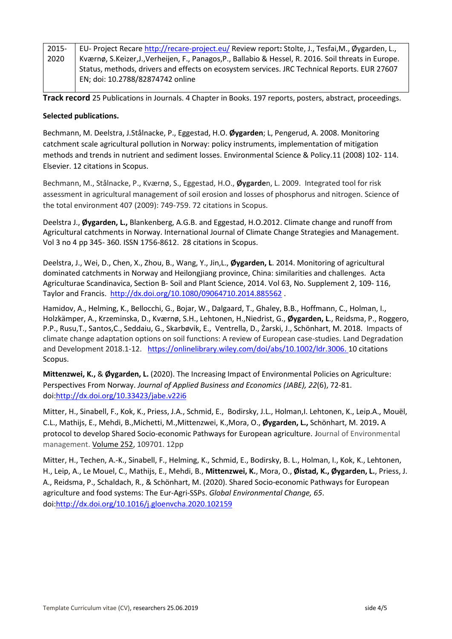| 2015- | EU- Project Recare http://recare-project.eu/ Review report: Stolte, J., Tesfai, M., Øygarden, L.,  |
|-------|----------------------------------------------------------------------------------------------------|
| 2020  | Kværnø, S.Keizer,J.,Verheijen, F., Panagos,P., Ballabio & Hessel, R. 2016. Soil threats in Europe. |
|       | Status, methods, drivers and effects on ecosystem services. JRC Technical Reports. EUR 27607       |
|       | EN; doi: 10.2788/82874742 online                                                                   |

**Track record** 25 Publications in Journals. 4 Chapter in Books. 197 reports, posters, abstract, proceedings.

#### **Selected publications.**

Bechmann, M. Deelstra, J.Stålnacke, P., Eggestad, H.O. **Øygarden**; L, Pengerud, A. 2008. Monitoring catchment scale agricultural pollution in Norway: policy instruments, implementation of mitigation methods and trends in nutrient and sediment losses. Environmental Science & Policy.11 (2008) 102- 114. Elsevier. 12 citations in Scopus.

Bechmann, M., Stålnacke, P., Kværnø, S., Eggestad, H.O., **Øygarde**n, L. 2009. Integrated tool for risk assessment in agricultural management of soil erosion and losses of phosphorus and nitrogen. Science of the total environment 407 (2009): 749-759. 72 citations in Scopus.

Deelstra J., **Øygarden, L.,** Blankenberg, A.G.B. and Eggestad, H.O.2012. Climate change and runoff from Agricultural catchments in Norway. International Journal of Climate Change Strategies and Management. Vol 3 no 4 pp 345- 360. ISSN 1756-8612. 28 citations in Scopus.

Deelstra, J., Wei, D., Chen, X., Zhou, B., Wang, Y., Jin,L., **Øygarden, L**. 2014. Monitoring of agricultural dominated catchments in Norway and Heilongjiang province, China: similarities and challenges. Acta Agriculturae Scandinavica, Section B- Soil and Plant Science, 2014. Vol 63, No. Supplement 2, 109- 116, Taylor and Francis. <http://dx.doi.org/10.1080/09064710.2014.885562> .

Hamidov, A., Helming, K., Bellocchi, G., Bojar, W., Dalgaard, T., Ghaley, B.B., Hoffmann, C., Holman, I., Holzkämper, A., Krzeminska, D., Kværnø, S.H., Lehtonen, H.,Niedrist, G., **Øygarden, L**., Reidsma, P., Roggero, P.P., Rusu,T., Santos,C., Seddaiu, G., Skarbøvik, E., Ventrella, D., Żarski, J., Schönhart, M. 2018. Impacts of climate change adaptation options on soil functions: A review of European case-studies. Land Degradation and Development 2018.1-12.[https://onlinelibrary.wiley.com/doi/abs/10.1002/ldr.3006.](https://onlinelibrary.wiley.com/doi/abs/10.1002/ldr.3006) 10 citations Scopus.

**Mittenzwei, K.,** & **Øygarden, L.** (2020). The Increasing Impact of Environmental Policies on Agriculture: Perspectives From Norway. *Journal of Applied Business and Economics (JABE), 22*(6), 72-81. doi[:http://dx.doi.org/10.33423/jabe.v22i6](http://dx.doi.org/10.33423/jabe.v22i6)

[Mitter,](https://www.sciencedirect.com/science/article/pii/S0301479719314197?via%3Dihub#!) H., [Sinabell,](https://www.sciencedirect.com/science/article/pii/S0301479719314197?via%3Dihub#!) F.[, Kok,](https://www.sciencedirect.com/science/article/pii/S0301479719314197?via%3Dihub#!) K., Priess, J.A., Schmid, E., Bodirsky, J.L., Holman,I. Lehtonen, K., Leip.A., Mouël, C.L., Mathijs, E., Mehdi, B.,Michetti, M.[,Mittenzwei,](https://www.sciencedirect.com/science/article/pii/S0301479719314197?via%3Dihub#!) K.[,Mora,](https://www.sciencedirect.com/science/article/pii/S0301479719314197?via%3Dihub#!) O., **Øygarden, L.,** [Schönhart, M.](https://www.sciencedirect.com/science/article/pii/S0301479719314197?via%3Dihub#!) 2019**.** A protocol to develop Shared Socio-economic Pathways for European agriculture. **J**ournal of Environmental management[. Volume 252,](https://www.sciencedirect.com/science/journal/03014797/252/supp/C) 109701. 12pp

Mitter, H., Techen, A.-K., Sinabell, F., Helming, K., Schmid, E., Bodirsky, B. L., Holman, I., Kok, K., Lehtonen, H., Leip, A., Le Mouel, C., Mathijs, E., Mehdi, B., **Mittenzwei, K.**, Mora, O., **Øistad, K., Øygarden, L.**, Priess, J. A., Reidsma, P., Schaldach, R., & Schönhart, M. (2020). Shared Socio-economic Pathways for European agriculture and food systems: The Eur-Agri-SSPs. *Global Environmental Change, 65*. doi[:http://dx.doi.org/10.1016/j.gloenvcha.2020.102159](http://dx.doi.org/10.1016/j.gloenvcha.2020.102159)